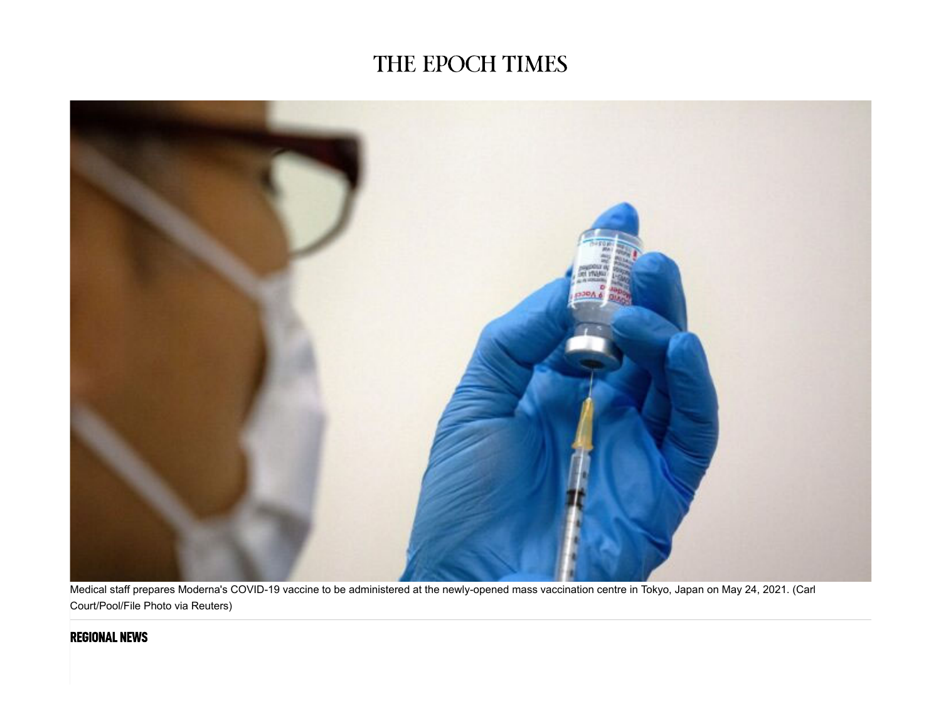## THE EPOCH TIMES



Medical staff prepares Moderna's COVID-19 vaccine to be administered at the newly-opened mass vaccination centre in Tokyo, Japan on May 24, 2021. (Carl Court/Pool/File Photo via Reuters)

## **REGIONAL NEWS**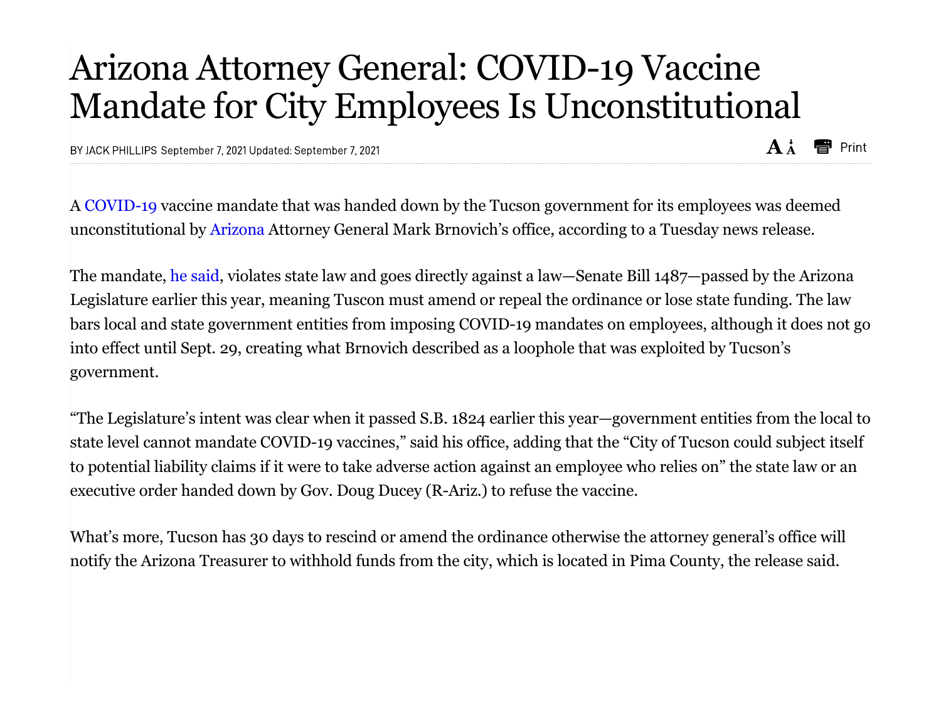## Arizona Attorney General: COVID-19 Vaccine Mandate for City Employees Is Unconstitutional

BY JACK PHILLIPS September 7, 2021 Updated: September 7, 2021

A COVID-19 vaccine mandate that was handed down by the Tucson government for its employees was deemed unconstitutional by Arizona Attorney General Mark Brnovich's office, according to a Tuesday news release.

The mandate, he said, violates state law and goes directly against a law—Senate Bill 1487—passed by the Arizona Legislature earlier this year, meaning Tuscon must amend or repeal the ordinance or lose state funding. The law bars local and state government entities from imposing COVID-19 mandates on employees, although it does not go into effect until Sept. 29, creating what Brnovich described as a loophole that was exploited by Tucson's government.

"The Legislature's intent was clear when it passed S.B. 1824 earlier this year—government entities from the local to state level cannot mandate COVID-19 vaccines," said his office, adding that the "City of Tucson could subject itself to potential liability claims if it were to take adverse action against an employee who relies on" the state law or an executive order handed down by Gov. Doug Ducey (R-Ariz.) to refuse the vaccine.

What's more, Tucson has 30 days to rescind or amend the ordinance otherwise the attorney general's office will notify the Arizona Treasurer to withhold funds from the city, which is located in Pima County, the release said.

 $A^{\dagger}$ **here** Print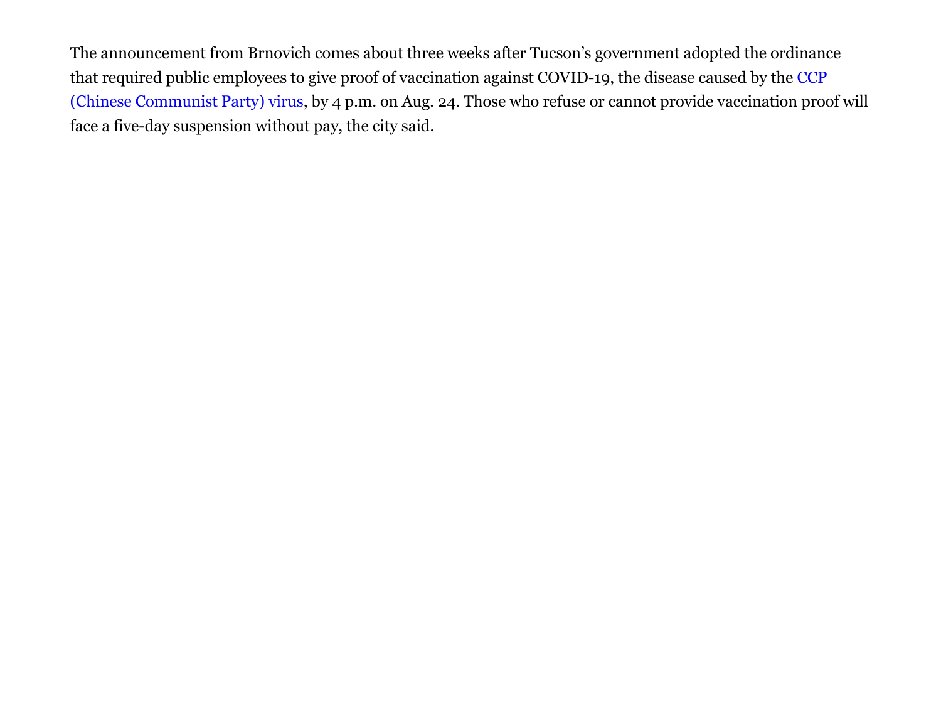The announcement from Brnovich comes about three weeks after Tucson's government adopted the ordinance that required public employees to give proof of vaccination against COVID-19, the disease caused by the CCP (Chinese Communist Party) virus, by 4 p.m. on Aug. 24. Those who refuse or cannot provide vaccination proof will face a five-day suspension without pay, the city said.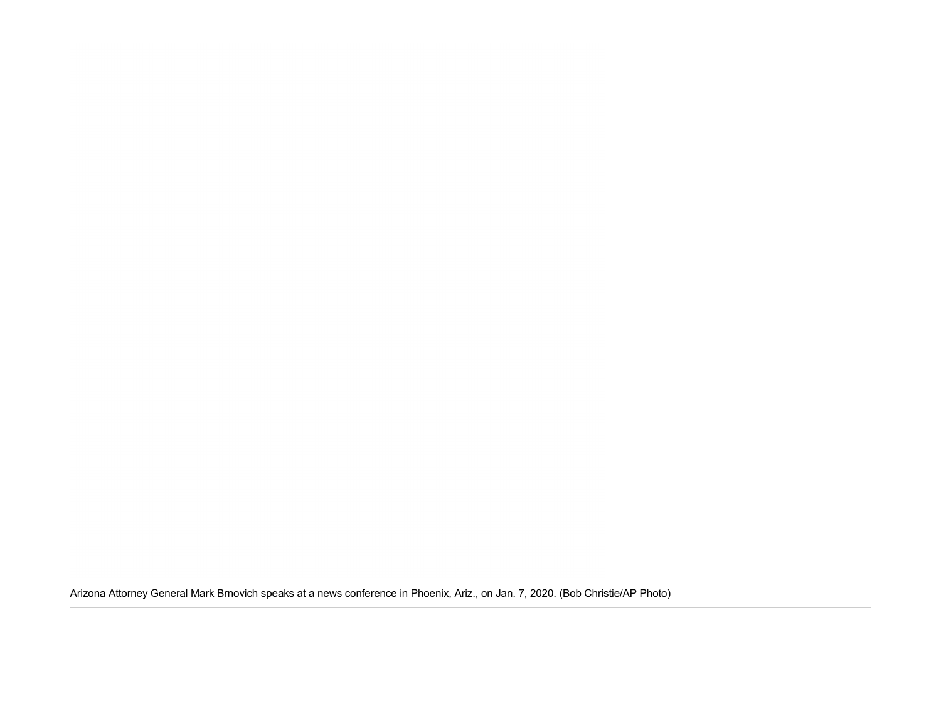Arizona Attorney General Mark Brnovich speaks at a news conference in Phoenix, Ariz., on Jan. 7, 2020. (Bob Christie/AP Photo)